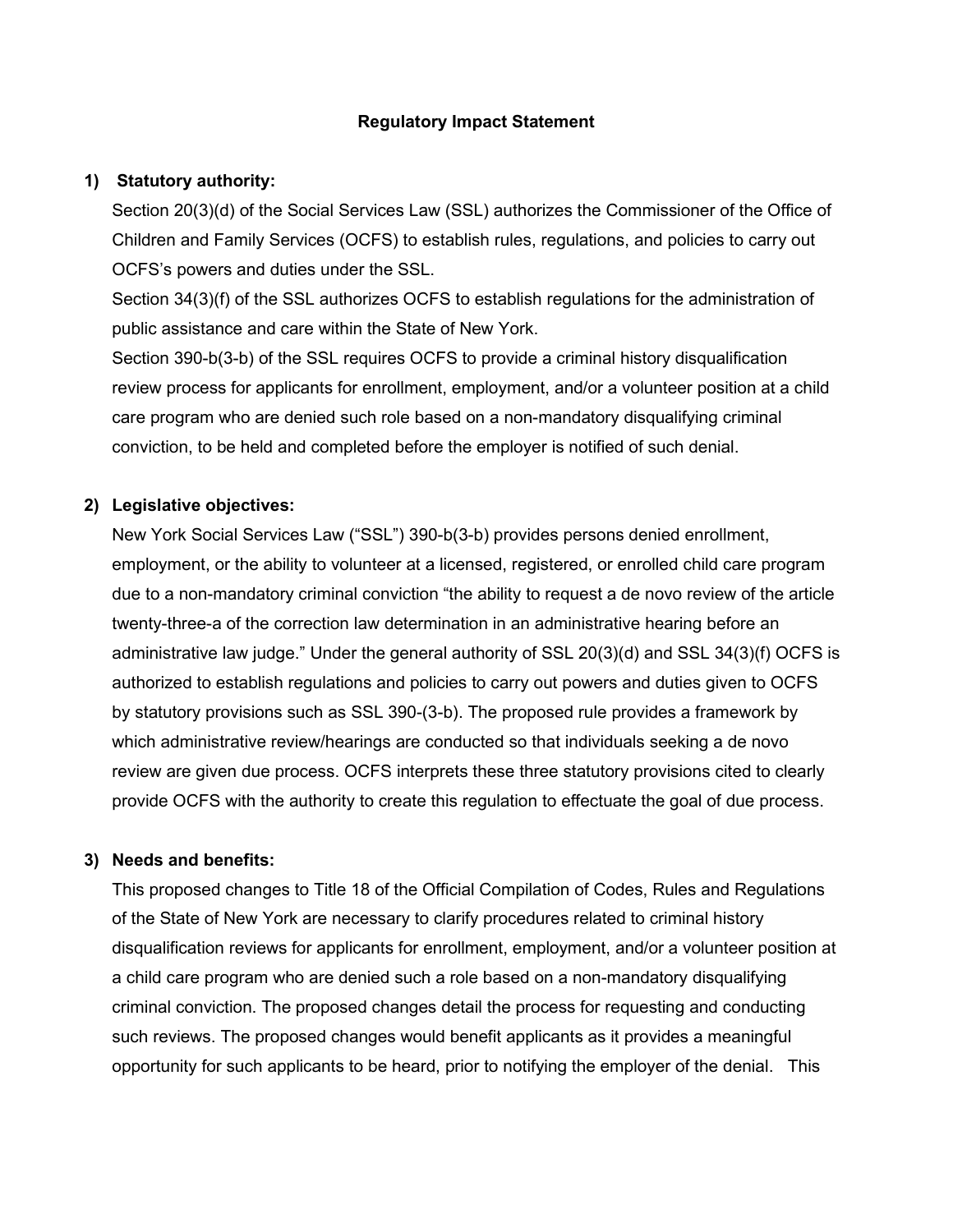### **Regulatory Impact Statement**

### **1) Statutory authority:**

Section 20(3)(d) of the Social Services Law (SSL) authorizes the Commissioner of the Office of Children and Family Services (OCFS) to establish rules, regulations, and policies to carry out OCFS's powers and duties under the SSL.

Section 34(3)(f) of the SSL authorizes OCFS to establish regulations for the administration of public assistance and care within the State of New York.

Section 390-b(3-b) of the SSL requires OCFS to provide a criminal history disqualification review process for applicants for enrollment, employment, and/or a volunteer position at a child care program who are denied such role based on a non-mandatory disqualifying criminal conviction, to be held and completed before the employer is notified of such denial.

#### **2) Legislative objectives:**

New York Social Services Law ("SSL") 390-b(3-b) provides persons denied enrollment, employment, or the ability to volunteer at a licensed, registered, or enrolled child care program due to a non-mandatory criminal conviction "the ability to request a de novo review of the article twenty-three-a of the correction law determination in an administrative hearing before an administrative law judge." Under the general authority of SSL 20(3)(d) and SSL 34(3)(f) OCFS is authorized to establish regulations and policies to carry out powers and duties given to OCFS by statutory provisions such as SSL 390-(3-b). The proposed rule provides a framework by which administrative review/hearings are conducted so that individuals seeking a de novo review are given due process. OCFS interprets these three statutory provisions cited to clearly provide OCFS with the authority to create this regulation to effectuate the goal of due process.

#### **3) Needs and benefits:**

This proposed changes to Title 18 of the Official Compilation of Codes, Rules and Regulations of the State of New York are necessary to clarify procedures related to criminal history disqualification reviews for applicants for enrollment, employment, and/or a volunteer position at a child care program who are denied such a role based on a non-mandatory disqualifying criminal conviction. The proposed changes detail the process for requesting and conducting such reviews. The proposed changes would benefit applicants as it provides a meaningful opportunity for such applicants to be heard, prior to notifying the employer of the denial. This